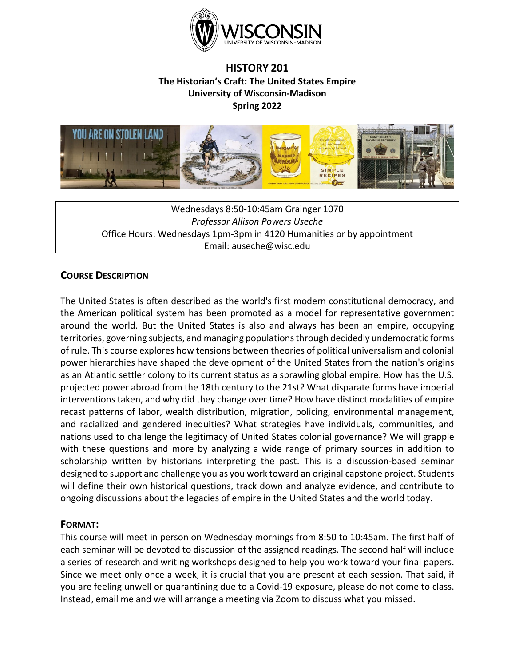

# **HISTORY 201 The Historian's Craft: The United States Empire University of Wisconsin-Madison Spring 2022**



Wednesdays 8:50-10:45am Grainger 1070 *Professor Allison Powers Useche* Office Hours: Wednesdays 1pm-3pm in 4120 Humanities or by appointment Email: auseche@wisc.edu

# **COURSE DESCRIPTION**

The United States is often described as the world's first modern constitutional democracy, and the American political system has been promoted as a model for representative government around the world. But the United States is also and always has been an empire, occupying territories, governing subjects, and managing populations through decidedly undemocratic forms of rule. This course explores how tensions between theories of political universalism and colonial power hierarchies have shaped the development of the United States from the nation's origins as an Atlantic settler colony to its current status as a sprawling global empire. How has the U.S. projected power abroad from the 18th century to the 21st? What disparate forms have imperial interventions taken, and why did they change over time? How have distinct modalities of empire recast patterns of labor, wealth distribution, migration, policing, environmental management, and racialized and gendered inequities? What strategies have individuals, communities, and nations used to challenge the legitimacy of United States colonial governance? We will grapple with these questions and more by analyzing a wide range of primary sources in addition to scholarship written by historians interpreting the past. This is a discussion-based seminar designed to support and challenge you as you work toward an original capstone project. Students will define their own historical questions, track down and analyze evidence, and contribute to ongoing discussions about the legacies of empire in the United States and the world today.

# **FORMAT:**

This course will meet in person on Wednesday mornings from 8:50 to 10:45am. The first half of each seminar will be devoted to discussion of the assigned readings. The second half will include a series of research and writing workshops designed to help you work toward your final papers. Since we meet only once a week, it is crucial that you are present at each session. That said, if you are feeling unwell or quarantining due to a Covid-19 exposure, please do not come to class. Instead, email me and we will arrange a meeting via Zoom to discuss what you missed.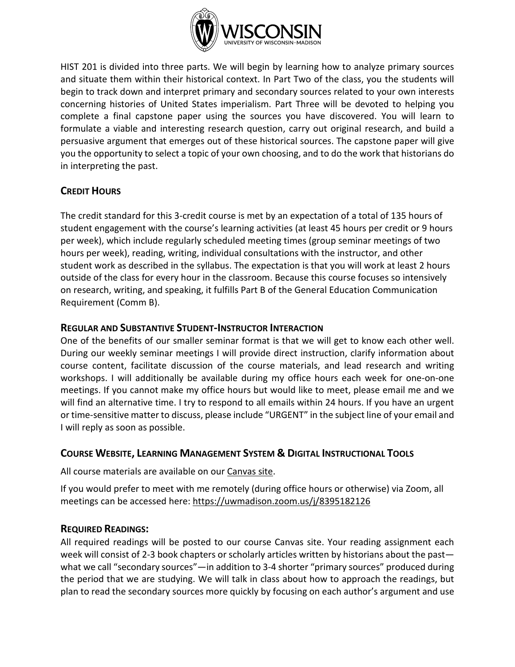

HIST 201 is divided into three parts. We will begin by learning how to analyze primary sources and situate them within their historical context. In Part Two of the class, you the students will begin to track down and interpret primary and secondary sources related to your own interests concerning histories of United States imperialism. Part Three will be devoted to helping you complete a final capstone paper using the sources you have discovered. You will learn to formulate a viable and interesting research question, carry out original research, and build a persuasive argument that emerges out of these historical sources. The capstone paper will give you the opportunity to select a topic of your own choosing, and to do the work that historians do in interpreting the past.

# **CREDIT HOURS**

The credit standard for this 3-credit course is met by an expectation of a total of 135 hours of student engagement with the course's learning activities (at least 45 hours per credit or 9 hours per week), which include regularly scheduled meeting times (group seminar meetings of two hours per week), reading, writing, individual consultations with the instructor, and other student work as described in the syllabus. The expectation is that you will work at least 2 hours outside of the class for every hour in the classroom. Because this course focuses so intensively on research, writing, and speaking, it fulfills Part B of the General Education Communication Requirement (Comm B).

# **REGULAR AND SUBSTANTIVE STUDENT-INSTRUCTOR INTERACTION**

One of the benefits of our smaller seminar format is that we will get to know each other well. During our weekly seminar meetings I will provide direct instruction, clarify information about course content, facilitate discussion of the course materials, and lead research and writing workshops. I will additionally be available during my office hours each week for one-on-one meetings. If you cannot make my office hours but would like to meet, please email me and we will find an alternative time. I try to respond to all emails within 24 hours. If you have an urgent or time-sensitive matter to discuss, please include "URGENT" in the subject line of your email and I will reply as soon as possible.

# **COURSE WEBSITE, LEARNING MANAGEMENT SYSTEM & DIGITAL INSTRUCTIONAL TOOLS**

All course materials are available on our [Canvas site.](https://it.wisc.edu/services/canvas/)

If you would prefer to meet with me remotely (during office hours or otherwise) via Zoom, all meetings can be accessed here:<https://uwmadison.zoom.us/j/8395182126>

# **REQUIRED READINGS:**

All required readings will be posted to our course Canvas site. Your reading assignment each week will consist of 2-3 book chapters or scholarly articles written by historians about the past what we call "secondary sources"—in addition to 3-4 shorter "primary sources" produced during the period that we are studying. We will talk in class about how to approach the readings, but plan to read the secondary sources more quickly by focusing on each author's argument and use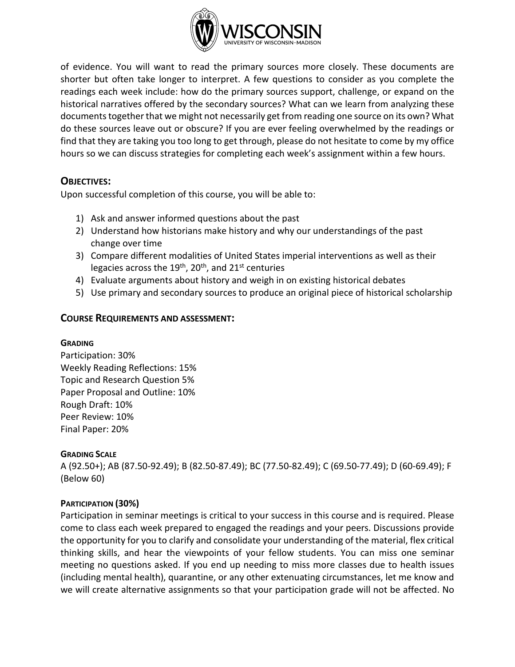

of evidence. You will want to read the primary sources more closely. These documents are shorter but often take longer to interpret. A few questions to consider as you complete the readings each week include: how do the primary sources support, challenge, or expand on the historical narratives offered by the secondary sources? What can we learn from analyzing these documents together that we might not necessarily get from reading one source on its own? What do these sources leave out or obscure? If you are ever feeling overwhelmed by the readings or find that they are taking you too long to get through, please do not hesitate to come by my office hours so we can discuss strategies for completing each week's assignment within a few hours.

# **OBJECTIVES:**

Upon successful completion of this course, you will be able to:

- 1) Ask and answer informed questions about the past
- 2) Understand how historians make history and why our understandings of the past change over time
- 3) Compare different modalities of United States imperial interventions as well as their legacies across the  $19<sup>th</sup>$ , 20<sup>th</sup>, and 21<sup>st</sup> centuries
- 4) Evaluate arguments about history and weigh in on existing historical debates
- 5) Use primary and secondary sources to produce an original piece of historical scholarship

#### **COURSE REQUIREMENTS AND ASSESSMENT:**

#### **GRADING**

Participation: 30% Weekly Reading Reflections: 15% Topic and Research Question 5% Paper Proposal and Outline: 10% Rough Draft: 10% Peer Review: 10% Final Paper: 20%

#### **GRADING SCALE**

A (92.50+); AB (87.50-92.49); B (82.50-87.49); BC (77.50-82.49); C (69.50-77.49); D (60-69.49); F (Below 60)

#### **PARTICIPATION (30%)**

Participation in seminar meetings is critical to your success in this course and is required. Please come to class each week prepared to engaged the readings and your peers. Discussions provide the opportunity for you to clarify and consolidate your understanding of the material, flex critical thinking skills, and hear the viewpoints of your fellow students. You can miss one seminar meeting no questions asked. If you end up needing to miss more classes due to health issues (including mental health), quarantine, or any other extenuating circumstances, let me know and we will create alternative assignments so that your participation grade will not be affected. No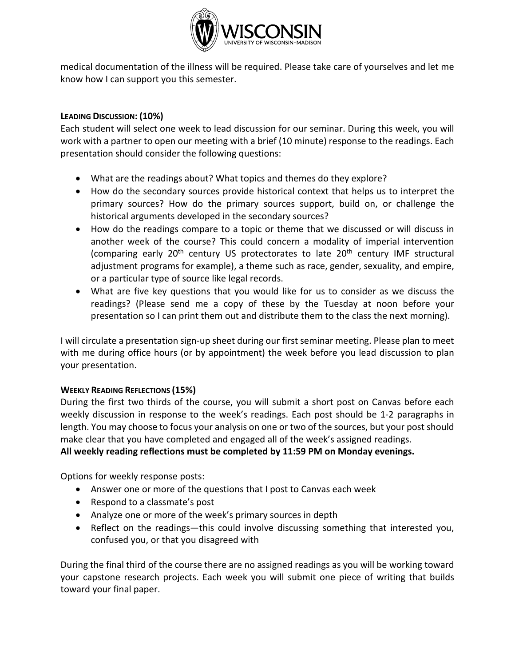

medical documentation of the illness will be required. Please take care of yourselves and let me know how I can support you this semester.

## **LEADING DISCUSSION: (10%)**

Each student will select one week to lead discussion for our seminar. During this week, you will work with a partner to open our meeting with a brief (10 minute) response to the readings. Each presentation should consider the following questions:

- What are the readings about? What topics and themes do they explore?
- How do the secondary sources provide historical context that helps us to interpret the primary sources? How do the primary sources support, build on, or challenge the historical arguments developed in the secondary sources?
- How do the readings compare to a topic or theme that we discussed or will discuss in another week of the course? This could concern a modality of imperial intervention (comparing early 20<sup>th</sup> century US protectorates to late 20<sup>th</sup> century IMF structural adjustment programs for example), a theme such as race, gender, sexuality, and empire, or a particular type of source like legal records.
- What are five key questions that you would like for us to consider as we discuss the readings? (Please send me a copy of these by the Tuesday at noon before your presentation so I can print them out and distribute them to the class the next morning).

I will circulate a presentation sign-up sheet during our first seminar meeting. Please plan to meet with me during office hours (or by appointment) the week before you lead discussion to plan your presentation.

#### **WEEKLY READING REFLECTIONS (15%)**

During the first two thirds of the course, you will submit a short post on Canvas before each weekly discussion in response to the week's readings. Each post should be 1-2 paragraphs in length. You may choose to focus your analysis on one or two of the sources, but your post should make clear that you have completed and engaged all of the week's assigned readings.

**All weekly reading reflections must be completed by 11:59 PM on Monday evenings.**

Options for weekly response posts:

- Answer one or more of the questions that I post to Canvas each week
- Respond to a classmate's post
- Analyze one or more of the week's primary sources in depth
- Reflect on the readings—this could involve discussing something that interested you, confused you, or that you disagreed with

During the final third of the course there are no assigned readings as you will be working toward your capstone research projects. Each week you will submit one piece of writing that builds toward your final paper.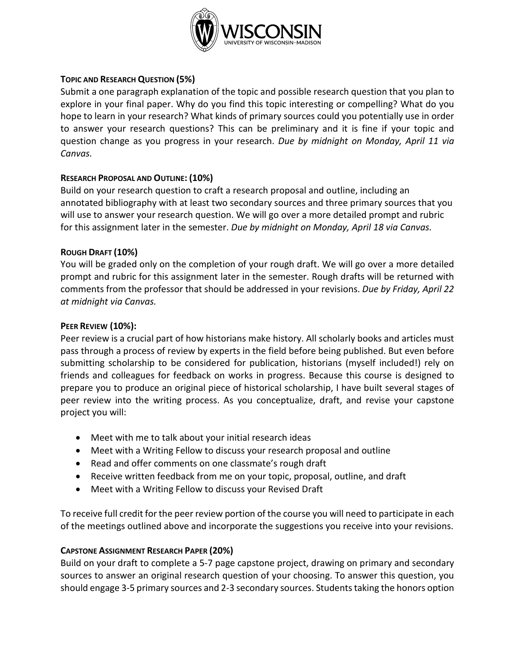

#### **TOPIC AND RESEARCH QUESTION (5%)**

Submit a one paragraph explanation of the topic and possible research question that you plan to explore in your final paper. Why do you find this topic interesting or compelling? What do you hope to learn in your research? What kinds of primary sources could you potentially use in order to answer your research questions? This can be preliminary and it is fine if your topic and question change as you progress in your research. *Due by midnight on Monday, April 11 via Canvas.*

#### **RESEARCH PROPOSAL AND OUTLINE: (10%)**

Build on your research question to craft a research proposal and outline, including an annotated bibliography with at least two secondary sources and three primary sources that you will use to answer your research question. We will go over a more detailed prompt and rubric for this assignment later in the semester. *Due by midnight on Monday, April 18 via Canvas.*

#### **ROUGH DRAFT (10%)**

You will be graded only on the completion of your rough draft. We will go over a more detailed prompt and rubric for this assignment later in the semester. Rough drafts will be returned with comments from the professor that should be addressed in your revisions. *Due by Friday, April 22 at midnight via Canvas.*

#### **PEER REVIEW (10%):**

Peer review is a crucial part of how historians make history. All scholarly books and articles must pass through a process of review by experts in the field before being published. But even before submitting scholarship to be considered for publication, historians (myself included!) rely on friends and colleagues for feedback on works in progress. Because this course is designed to prepare you to produce an original piece of historical scholarship, I have built several stages of peer review into the writing process. As you conceptualize, draft, and revise your capstone project you will:

- Meet with me to talk about your initial research ideas
- Meet with a Writing Fellow to discuss your research proposal and outline
- Read and offer comments on one classmate's rough draft
- Receive written feedback from me on your topic, proposal, outline, and draft
- Meet with a Writing Fellow to discuss your Revised Draft

To receive full credit for the peer review portion of the course you will need to participate in each of the meetings outlined above and incorporate the suggestions you receive into your revisions.

#### **CAPSTONE ASSIGNMENT RESEARCH PAPER (20%)**

Build on your draft to complete a 5-7 page capstone project, drawing on primary and secondary sources to answer an original research question of your choosing. To answer this question, you should engage 3-5 primary sources and 2-3 secondary sources. Students taking the honors option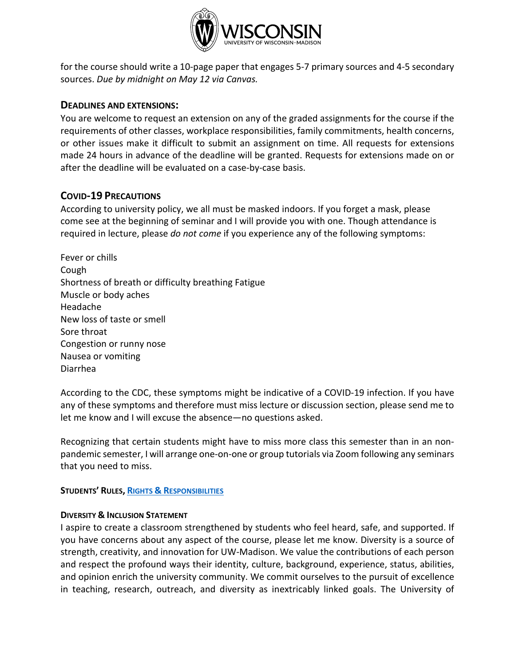

for the course should write a 10-page paper that engages 5-7 primary sources and 4-5 secondary sources. *Due by midnight on May 12 via Canvas.*

#### **DEADLINES AND EXTENSIONS:**

You are welcome to request an extension on any of the graded assignments for the course if the requirements of other classes, workplace responsibilities, family commitments, health concerns, or other issues make it difficult to submit an assignment on time. All requests for extensions made 24 hours in advance of the deadline will be granted. Requests for extensions made on or after the deadline will be evaluated on a case-by-case basis.

#### **COVID-19 PRECAUTIONS**

According to university policy, we all must be masked indoors. If you forget a mask, please come see at the beginning of seminar and I will provide you with one. Though attendance is required in lecture, please *do not come* if you experience any of the following symptoms:

Fever or chills Cough Shortness of breath or difficulty breathing Fatigue Muscle or body aches Headache New loss of taste or smell Sore throat Congestion or runny nose Nausea or vomiting Diarrhea

According to the CDC, these symptoms might be indicative of a COVID-19 infection. If you have any of these symptoms and therefore must miss lecture or discussion section, please send me to let me know and I will excuse the absence—no questions asked.

Recognizing that certain students might have to miss more class this semester than in an nonpandemic semester, I will arrange one-on-one or group tutorials via Zoom following any seminars that you need to miss.

#### **STUDENTS' RULES, RIGHTS & [RESPONSIBILITIES](https://guide.wisc.edu/undergraduate/#rulesrightsandresponsibilitiestext)**

#### **DIVERSITY & INCLUSION STATEMENT**

I aspire to create a classroom strengthened by students who feel heard, safe, and supported. If you have concerns about any aspect of the course, please let me know. Diversity is a source of strength, creativity, and innovation for UW-Madison. We value the contributions of each person and respect the profound ways their identity, culture, background, experience, status, abilities, and opinion enrich the university community. We commit ourselves to the pursuit of excellence in teaching, research, outreach, and diversity as inextricably linked goals. The University of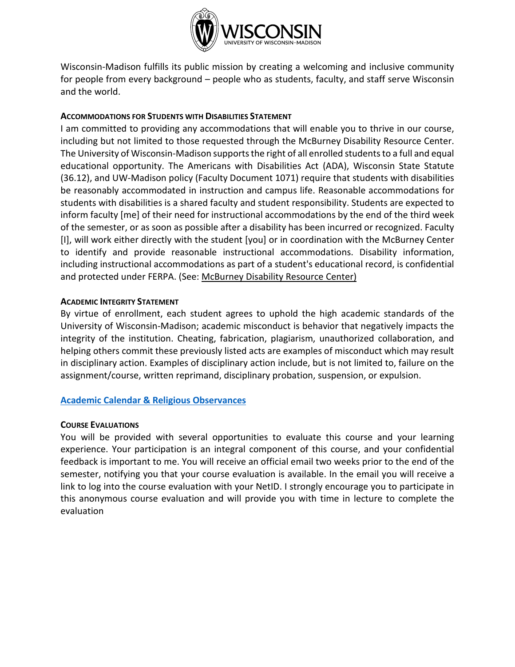

Wisconsin-Madison fulfills its public mission by creating a welcoming and inclusive community for people from every background – people who as students, faculty, and staff serve Wisconsin and the world.

#### **ACCOMMODATIONS FOR STUDENTS WITH DISABILITIES STATEMENT**

I am committed to providing any accommodations that will enable you to thrive in our course, including but not limited to those requested through the McBurney Disability Resource Center. The University of Wisconsin-Madison supports the right of all enrolled students to a full and equal educational opportunity. The Americans with Disabilities Act (ADA), Wisconsin State Statute (36.12), and UW-Madison policy (Faculty Document 1071) require that students with disabilities be reasonably accommodated in instruction and campus life. Reasonable accommodations for students with disabilities is a shared faculty and student responsibility. Students are expected to inform faculty [me] of their need for instructional accommodations by the end of the third week of the semester, or as soon as possible after a disability has been incurred or recognized. Faculty [I], will work either directly with the student [you] or in coordination with the McBurney Center to identify and provide reasonable instructional accommodations. Disability information, including instructional accommodations as part of a student's educational record, is confidential and protected under FERPA. (See: [McBurney Disability Resource Center\)](https://mcburney.wisc.edu/)

#### **ACADEMIC INTEGRITY STATEMENT**

By virtue of enrollment, each student agrees to uphold the high academic standards of the University of Wisconsin-Madison; academic misconduct is behavior that negatively impacts the integrity of the institution. Cheating, fabrication, plagiarism, unauthorized collaboration, and helping others commit these previously listed acts are examples of misconduct which may result in disciplinary action. Examples of disciplinary action include, but is not limited to, failure on the assignment/course, written reprimand, disciplinary probation, suspension, or expulsion.

#### **[Academic Calendar & Religious Observances](https://secfac.wisc.edu/academic-calendar/)**

#### **COURSE EVALUATIONS**

You will be provided with several opportunities to evaluate this course and your learning experience. Your participation is an integral component of this course, and your confidential feedback is important to me. You will receive an official email two weeks prior to the end of the semester, notifying you that your course evaluation is available. In the email you will receive a link to log into the course evaluation with your NetID. I strongly encourage you to participate in this anonymous course evaluation and will provide you with time in lecture to complete the evaluation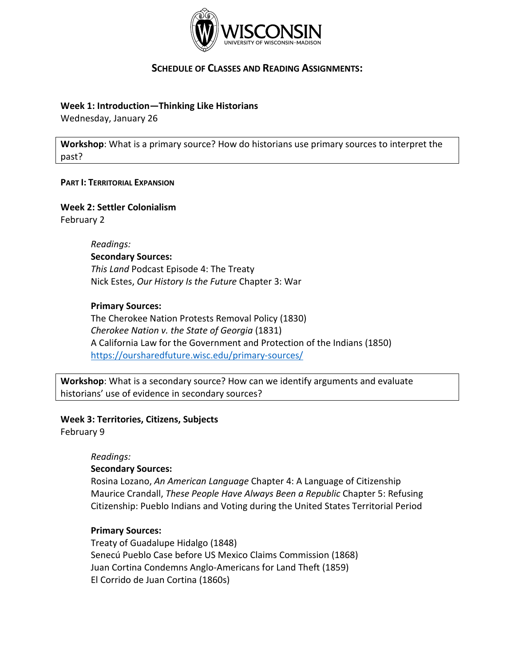

# **SCHEDULE OF CLASSES AND READING ASSIGNMENTS:**

#### **Week 1: Introduction—Thinking Like Historians**

Wednesday, January 26

**Workshop**: What is a primary source? How do historians use primary sources to interpret the past?

#### **PART I: TERRITORIAL EXPANSION**

# **Week 2: Settler Colonialism**

February 2

#### *Readings:* **Secondary Sources:**

*This Land* Podcast Episode 4: The Treaty Nick Estes, *Our History Is the Future* Chapter 3: War

#### **Primary Sources:**

The Cherokee Nation Protests Removal Policy (1830) *Cherokee Nation v. the State of Georgia* (1831) A California Law for the Government and Protection of the Indians (1850) <https://oursharedfuture.wisc.edu/primary-sources/>

**Workshop**: What is a secondary source? How can we identify arguments and evaluate historians' use of evidence in secondary sources?

#### **Week 3: Territories, Citizens, Subjects**

February 9

#### *Readings:*

#### **Secondary Sources:**

Rosina Lozano, *An American Language* Chapter 4: A Language of Citizenship Maurice Crandall, *These People Have Always Been a Republic* Chapter 5: [Refusing](https://muse-jhu-edu.ezproxy.library.wisc.edu/chapter/2393263)  [Citizenship: Pueblo Indians and Voting during the United States Territorial Period](https://muse-jhu-edu.ezproxy.library.wisc.edu/chapter/2393263)

#### **Primary Sources:**

Treaty of Guadalupe Hidalgo (1848) Senecú Pueblo Case before US Mexico Claims Commission (1868) Juan Cortina Condemns Anglo-Americans for Land Theft (1859) El Corrido de Juan Cortina (1860s)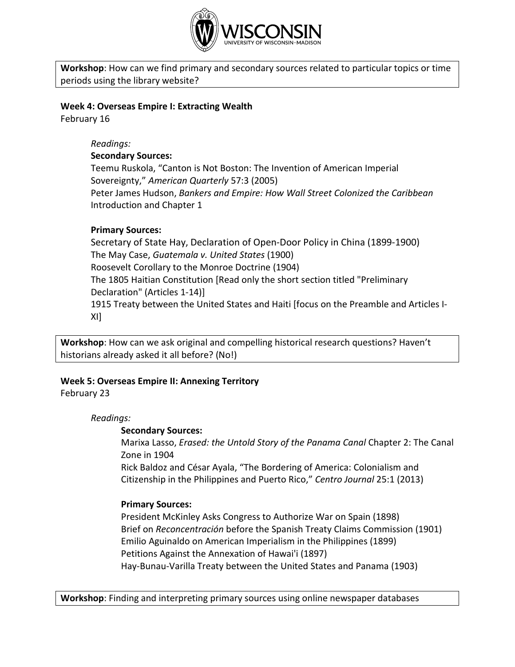

**Workshop**: How can we find primary and secondary sources related to particular topics or time periods using the library website?

#### **Week 4: Overseas Empire I: Extracting Wealth**

February 16

## *Readings:*

#### **Secondary Sources:**

Teemu Ruskola, "Canton is Not Boston: The Invention of American Imperial Sovereignty," *American Quarterly* 57:3 (2005) Peter James Hudson, *Bankers and Empire: How Wall Street Colonized the Caribbean*

#### Introduction and Chapter 1

#### **Primary Sources:**

Secretary of State Hay, Declaration of Open-Door Policy in China (1899-1900) The May Case, *Guatemala v. United States* (1900) Roosevelt Corollary to the Monroe Doctrine (1904) [The 1805 Haitian Constitution](http://faculty.webster.edu/corbetre/haiti/history/earlyhaiti/1805-const.htm) [Read only the short section titled "Preliminary Declaration" (Articles 1-14)] [1915 Treaty between the United States and Haiti \[focus on the Preamble and Articles I-](https://archive.org/details/treatywithhaiti00pomegoog/page/n4/mode/2up)[XI\]](https://archive.org/details/treatywithhaiti00pomegoog/page/n4/mode/2up)

**Workshop**: How can we ask original and compelling historical research questions? Haven't historians already asked it all before? (No!)

# **Week 5: Overseas Empire II: Annexing Territory**

#### February 23

*Readings:*

#### **Secondary Sources:**

Marixa Lasso, *Erased: the Untold Story of the Panama Canal* Chapter 2: The Canal Zone in 1904

Rick Baldoz and César Ayala, "The Bordering of America: Colonialism and Citizenship in the Philippines and Puerto Rico," *Centro Journal* 25:1 (2013)

#### **Primary Sources:**

President McKinley Asks Congress to Authorize War on Spain (1898) Brief on *Reconcentración* before the Spanish Treaty Claims Commission (1901) [Emilio Aguinaldo on American Imperialism in the Philippines \(1899\)](http://nationalhumanitiescenter.org/pds/gilded/empire/text9/filipino.pdf) [Petitions Against the Annexation of Hawai'i](https://www.archives.gov/education/lessons/hawaii-petition) (1897) [Hay-Bunau-Varilla Treaty between the United States and Panama \(1903\)](https://avalon.law.yale.edu/20th_century/pan001.asp)

**Workshop**: Finding and interpreting primary sources using online newspaper databases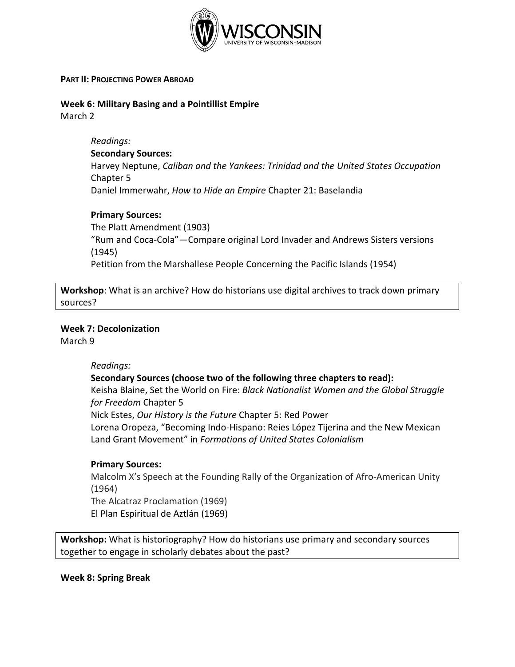

#### **PART II: PROJECTING POWER ABROAD**

**Week 6: Military Basing and a Pointillist Empire**

March 2

*Readings:*

#### **Secondary Sources:**

Harvey Neptune, *Caliban and the Yankees: Trinidad and the United States Occupation* Chapter 5 Daniel Immerwahr, *How to Hide an Empire* Chapter 21: Baselandia

**Primary Sources:**

The Platt Amendment (1903) "Rum and Coca-Cola"*—*Compare original Lord Invader and Andrews Sisters versions (1945) Petition from the Marshallese People Concerning the Pacific Islands (1954)

**Workshop**: What is an archive? How do historians use digital archives to track down primary sources?

#### **Week 7: Decolonization**

March 9

#### *Readings:*

#### **Secondary Sources (choose two of the following three chapters to read):**

Keisha Blaine, Set the World on Fire: *Black Nationalist Women and the Global Struggle for Freedom* Chapter 5 Nick Estes, *Our History is the Future* Chapter 5: Red Power

Lorena Oropeza, "Becoming Indo-Hispano: Reies López Tijerina and the New Mexican Land Grant Movement" in *Formations of United States Colonialism*

#### **Primary Sources:**

Malcolm X's Speech at the Founding Rally of the Organization of Afro-American Unity (1964) The Alcatraz Proclamation (1969)

El Plan Espiritual de Aztlán (1969)

**Workshop:** What is historiography? How do historians use primary and secondary sources together to engage in scholarly debates about the past?

**Week 8: Spring Break**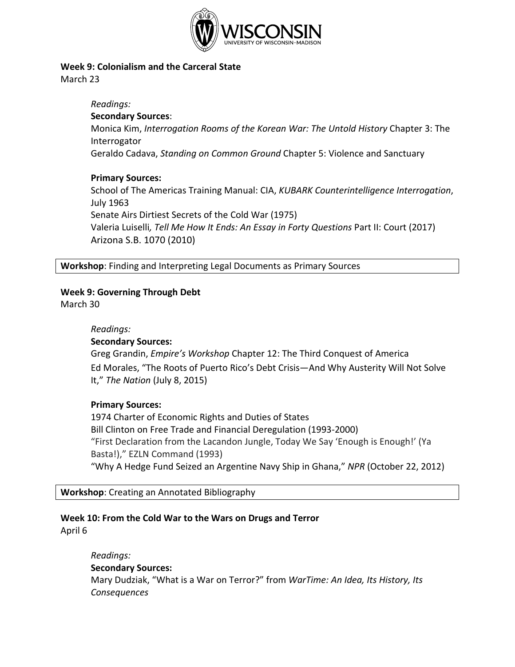

## **Week 9: Colonialism and the Carceral State**

March 23

#### *Readings:* **Secondary Sources**:

Monica Kim, *Interrogation Rooms of the Korean War: The Untold History* Chapter 3: The Interrogator

Geraldo Cadava, *Standing on Common Ground* Chapter 5: Violence and Sanctuary

# **Primary Sources:**

School of The Americas Training Manual: CIA, *KUBARK Counterintelligence Interrogation*, July 1963 Senate Airs Dirtiest Secrets of the Cold War (1975) Valeria Luiselli*, Tell Me How It Ends: An Essay in Forty Questions* Part II: Court (2017) Arizona S.B. 1070 (2010)

**Workshop**: Finding and Interpreting Legal Documents as Primary Sources

# **Week 9: Governing Through Debt**

March 30

# *Readings:*

# **Secondary Sources:**

Greg Grandin, *Empire's Workshop* Chapter 12: The Third Conquest of America Ed Morales, "The Roots of Puerto Rico's Debt Crisis—And Why Austerity Will Not Solve It," *The Nation* (July 8, 2015)

# **Primary Sources:**

1974 Charter of Economic Rights and Duties of States [Bill Clinton on Free Trade and Financial Deregulation \(1993-2000\)](http://www.americanyawp.com/reader/30-the-recent-past/bill-clinton-on-free-trade-and-financial-deregulation-1993-2000/) "First Declaration from the Lacandon Jungle, Today We Say 'Enough is Enough!' (Ya Basta!)," EZLN Command (1993) "Why A Hedge Fund Seized an Argentine Navy Ship in Ghana," *NPR* (October 22, 2012)

**Workshop**: Creating an Annotated Bibliography

# **Week 10: From the Cold War to the Wars on Drugs and Terror**

April 6

*Readings:* **Secondary Sources:** Mary Dudziak, "What is a War on Terror?" from *WarTime: An Idea, Its History, Its Consequences*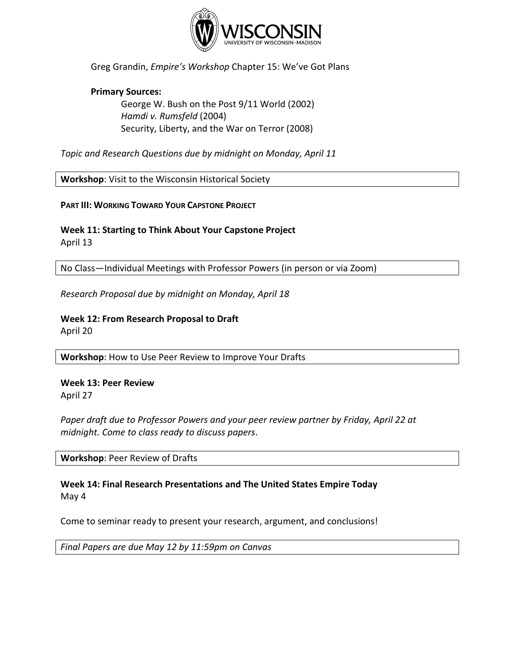

Greg Grandin, *Empire's Workshop* Chapter 15: We've Got Plans

#### **Primary Sources:**

[George W. Bush on the Post 9/11 World \(2002\)](https://www.americanyawp.com/reader/30-the-recent-past/george-w-bush-on-the-post-911-world-2002/) *Hamdi v. Rumsfeld* (2004) Security, Liberty, and the War on Terror (2008)

*Topic and Research Questions due by midnight on Monday, April 11*

**Workshop**: Visit to the Wisconsin Historical Society

**PART III: WORKING TOWARD YOUR CAPSTONE PROJECT**

# **Week 11: Starting to Think About Your Capstone Project**

April 13

No Class—Individual Meetings with Professor Powers (in person or via Zoom)

*Research Proposal due by midnight on Monday, April 18*

# **Week 12: From Research Proposal to Draft**

April 20

**Workshop**: How to Use Peer Review to Improve Your Drafts

**Week 13: Peer Review** April 27

*Paper draft due to Professor Powers and your peer review partner by Friday, April 22 at midnight. Come to class ready to discuss papers*.

**Workshop**: Peer Review of Drafts

**Week 14: Final Research Presentations and The United States Empire Today** May 4

Come to seminar ready to present your research, argument, and conclusions!

*Final Papers are due May 12 by 11:59pm on Canvas*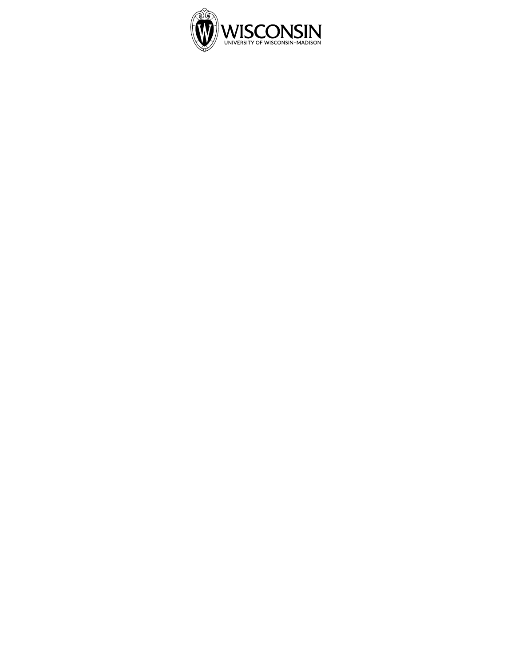